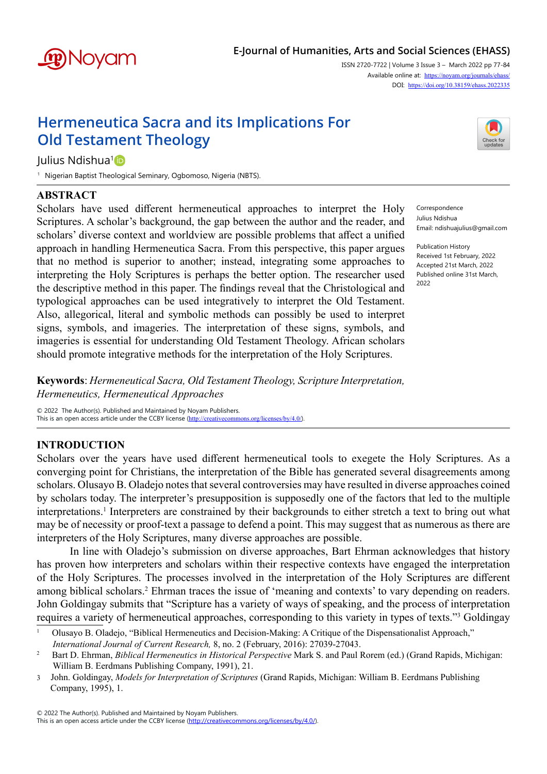

# **E-Journal of Humanities, Arts and Social Sciences (EHASS)**

ISSN 2720-7722 | Volume 3 Issue 3 – March 2022 pp 77-84 Available online at: <https://noyam.org/journals/ehass/> DOI: [https://doi.org/1](https://doi.org/10.38159/ehass.2022334)0.38159/ehass.2022335

# **Hermeneutica Sacra and its Implications For Old Testament Theology**



Julius Ndishua<sup>[1](https://orcid.org/0000-0002-9653-7747)</sup>D

1 Nigerian Baptist Theological Seminary, Ogbomoso, Nigeria (NBTS).

# **ABSTRACT**

Scholars have used different hermeneutical approaches to interpret the Holy Scriptures. A scholar's background, the gap between the author and the reader, and scholars' diverse context and worldview are possible problems that affect a unified approach in handling Hermeneutica Sacra. From this perspective, this paper argues that no method is superior to another; instead, integrating some approaches to interpreting the Holy Scriptures is perhaps the better option. The researcher used the descriptive method in this paper. The findings reveal that the Christological and typological approaches can be used integratively to interpret the Old Testament. Also, allegorical, literal and symbolic methods can possibly be used to interpret signs, symbols, and imageries. The interpretation of these signs, symbols, and imageries is essential for understanding Old Testament Theology. African scholars should promote integrative methods for the interpretation of the Holy Scriptures.

Correspondence Julius Ndishua Email: ndishuajulius@gmail.com

Publication History Received 1st February, 2022 Accepted 21st March, 2022 Published online 31st March, 2022

**Keywords**: *Hermeneutical Sacra, Old Testament Theology, Scripture Interpretation, Hermeneutics, Hermeneutical Approaches* 

© 2022 The Author(s). Published and Maintained by Noyam Publishers. This is an open access article under the CCBY license (<http://creativecommons.org/licenses/by/4.0/>)

# **INTRODUCTION**

Scholars over the years have used different hermeneutical tools to exegete the Holy Scriptures. As a converging point for Christians, the interpretation of the Bible has generated several disagreements among scholars. Olusayo B. Oladejo notes that several controversies may have resulted in diverse approaches coined by scholars today. The interpreter's presupposition is supposedly one of the factors that led to the multiple interpretations.<sup>1</sup> Interpreters are constrained by their backgrounds to either stretch a text to bring out what may be of necessity or proof-text a passage to defend a point. This may suggest that as numerous as there are interpreters of the Holy Scriptures, many diverse approaches are possible.

In line with Oladejo's submission on diverse approaches, Bart Ehrman acknowledges that history has proven how interpreters and scholars within their respective contexts have engaged the interpretation of the Holy Scriptures. The processes involved in the interpretation of the Holy Scriptures are different among biblical scholars.<sup>2</sup> Ehrman traces the issue of 'meaning and contexts' to vary depending on readers. John Goldingay submits that "Scripture has a variety of ways of speaking, and the process of interpretation requires a variety of hermeneutical approaches, corresponding to this variety in types of texts."<sup>3</sup> Goldingay

<sup>&</sup>lt;sup>1</sup> Olusayo B. Oladejo, "Biblical Hermeneutics and Decision-Making: A Critique of the Dispensationalist Approach," *International Journal of Current Research,* 8, no. 2 (February, 2016): 27039-27043.

<sup>&</sup>lt;sup>2</sup> Bart D. Ehrman, *Biblical Hermeneutics in Historical Perspective* Mark S. and Paul Rorem (ed.) (Grand Rapids, Michigan: William B. Eerdmans Publishing Company, 1991), 21.

<sup>3</sup> John. Goldingay, *Models for Interpretation of Scriptures* (Grand Rapids, Michigan: William B. Eerdmans Publishing Company, 1995), 1.

<sup>© 2022</sup> The Author(s). Published and Maintained by Noyam Publishers.

This is an open access article under the CCBY license [\(http://creativecommons.org/licenses/by/4.0/](http://creativecommons.org/licenses/by/4.0/)).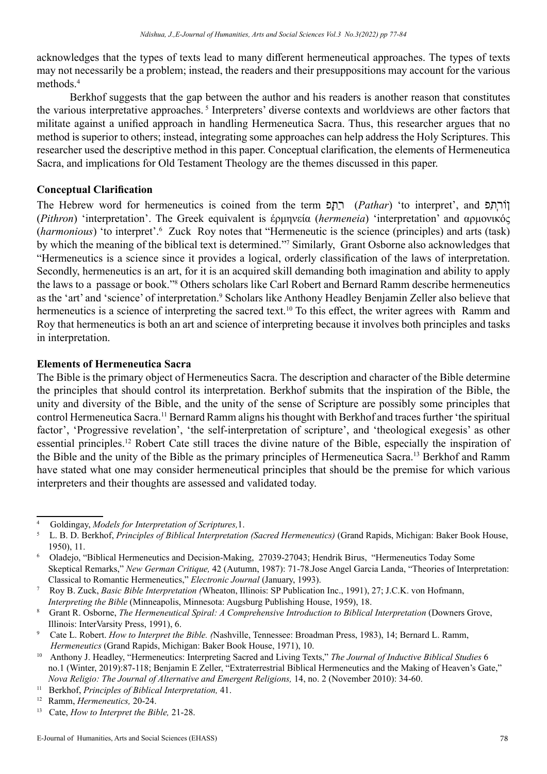acknowledges that the types of texts lead to many different hermeneutical approaches. The types of texts may not necessarily be a problem; instead, the readers and their presuppositions may account for the various methods.<sup>4</sup>

Berkhof suggests that the gap between the author and his readers is another reason that constitutes the various interpretative approaches. <sup>5</sup> Interpreters' diverse contexts and worldviews are other factors that militate against a unified approach in handling Hermeneutica Sacra. Thus, this researcher argues that no method is superior to others; instead, integrating some approaches can help address the Holy Scriptures. This researcher used the descriptive method in this paper. Conceptual clarification, the elements of Hermeneutica Sacra, and implications for Old Testament Theology are the themes discussed in this paper.

## **Conceptual Clarification**

The Hebrew word for hermeneutics is coined from the term פָּתַר) *Pathar*) 'to interpret', and פִּתְורֹן (*Pithron*) 'interpretation'. The Greek equivalent is έρμηνεία (*hermeneia*) 'interpretation' and αρμονικός (harmonious) 'to interpret'.<sup>6</sup> Zuck Roy notes that "Hermeneutic is the science (principles) and arts (task) by which the meaning of the biblical text is determined."7 Similarly, Grant Osborne also acknowledges that "Hermeneutics is a science since it provides a logical, orderly classification of the laws of interpretation. Secondly, hermeneutics is an art, for it is an acquired skill demanding both imagination and ability to apply the laws to a passage or book."<sup>8</sup> Others scholars like Carl Robert and Bernard Ramm describe hermeneutics as the 'art' and 'science' of interpretation.<sup>9</sup> Scholars like Anthony Headley Benjamin Zeller also believe that hermeneutics is a science of interpreting the sacred text.<sup>10</sup> To this effect, the writer agrees with Ramm and Roy that hermeneutics is both an art and science of interpreting because it involves both principles and tasks in interpretation.

## **Elements of Hermeneutica Sacra**

The Bible is the primary object of Hermeneutics Sacra. The description and character of the Bible determine the principles that should control its interpretation. Berkhof submits that the inspiration of the Bible, the unity and diversity of the Bible, and the unity of the sense of Scripture are possibly some principles that control Hermeneutica Sacra.<sup>11</sup> Bernard Ramm aligns his thought with Berkhof and traces further 'the spiritual factor', 'Progressive revelation', 'the self-interpretation of scripture', and 'theological exegesis' as other essential principles.12 Robert Cate still traces the divine nature of the Bible, especially the inspiration of the Bible and the unity of the Bible as the primary principles of Hermeneutica Sacra.<sup>13</sup> Berkhof and Ramm have stated what one may consider hermeneutical principles that should be the premise for which various interpreters and their thoughts are assessed and validated today.

<sup>4</sup> Goldingay, *Models for Interpretation of Scriptures,*1.

<sup>5</sup> L. B. D. Berkhof, *Principles of Biblical Interpretation (Sacred Hermeneutics)* (Grand Rapids, Michigan: Baker Book House, 1950), 11.

<sup>6</sup> Oladejo, "Biblical Hermeneutics and Decision-Making, 27039-27043; Hendrik Birus, "Hermeneutics Today Some Skeptical Remarks," *New German Critique,* 42 (Autumn, 1987): 71-78.Jose Angel Garcia Landa, "Theories of Interpretation: Classical to Romantic Hermeneutics," *Electronic Journal* (January, 1993).<br><sup>7</sup> Roy B. Zuck, *Rasic Rible Interpretation* (Wheaton, Illinois: SP Publication

<sup>7</sup> Roy B. Zuck, *Basic Bible Interpretation (*Wheaton, Illinois: SP Publication Inc., 1991), 27; J.C.K. von Hofmann, *Interpreting the Bible* (Minneapolis, Minnesota: Augsburg Publishing House, 1959), 18.

Grant R. Osborne, *The Hermeneutical Spiral: A Comprehensive Introduction to Biblical Interpretation* (Downers Grove, Illinois: InterVarsity Press, 1991), 6.

<sup>9</sup> Cate L. Robert. *How to Interpret the Bible. (*Nashville, Tennessee: Broadman Press, 1983), 14; Bernard L. Ramm, *Hermeneutics* (Grand Rapids, Michigan: Baker Book House, 1971), 10.

<sup>10</sup> Anthony J. Headley, "Hermeneutics: Interpreting Sacred and Living Texts," *The Journal of Inductive Biblical Studies* 6 no.1 (Winter, 2019):87-118; Benjamin E Zeller, "Extraterrestrial Biblical Hermeneutics and the Making of Heaven's Gate," *Nova Religio: The Journal of Alternative and Emergent Religions,* 14, no. 2 (November 2010): 34-60.

<sup>11</sup> Berkhof, *Principles of Biblical Interpretation,* 41.

<sup>12</sup> Ramm, *Hermeneutics,* 20-24.

<sup>13</sup> Cate, *How to Interpret the Bible,* 21-28.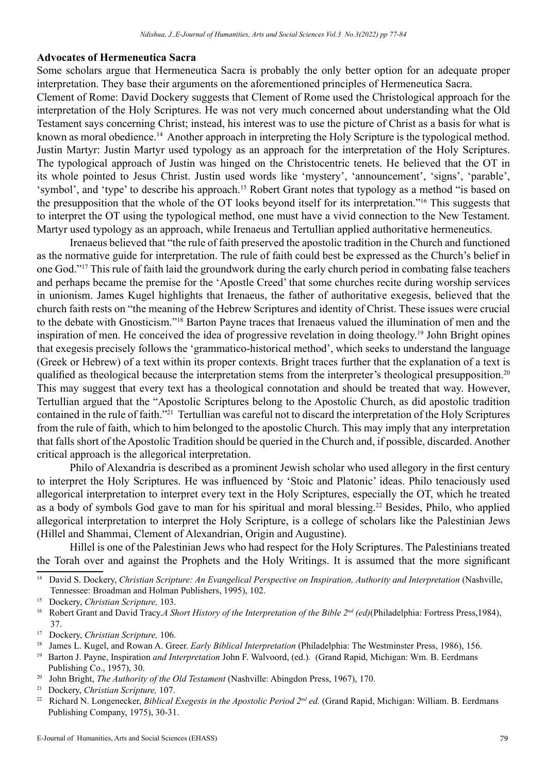#### **Advocates of Hermeneutica Sacra**

Some scholars argue that Hermeneutica Sacra is probably the only better option for an adequate proper interpretation. They base their arguments on the aforementioned principles of Hermeneutica Sacra.

Clement of Rome: David Dockery suggests that Clement of Rome used the Christological approach for the interpretation of the Holy Scriptures. He was not very much concerned about understanding what the Old Testament says concerning Christ; instead, his interest was to use the picture of Christ as a basis for what is known as moral obedience.<sup>14</sup> Another approach in interpreting the Holy Scripture is the typological method. Justin Martyr: Justin Martyr used typology as an approach for the interpretation of the Holy Scriptures. The typological approach of Justin was hinged on the Christocentric tenets. He believed that the OT in its whole pointed to Jesus Christ. Justin used words like 'mystery', 'announcement', 'signs', 'parable', 'symbol', and 'type' to describe his approach.<sup>15</sup> Robert Grant notes that typology as a method "is based on the presupposition that the whole of the OT looks beyond itself for its interpretation."16 This suggests that to interpret the OT using the typological method, one must have a vivid connection to the New Testament. Martyr used typology as an approach, while Irenaeus and Tertullian applied authoritative hermeneutics.

Irenaeus believed that "the rule of faith preserved the apostolic tradition in the Church and functioned as the normative guide for interpretation. The rule of faith could best be expressed as the Church's belief in one God."17 This rule of faith laid the groundwork during the early church period in combating false teachers and perhaps became the premise for the 'Apostle Creed' that some churches recite during worship services in unionism. James Kugel highlights that Irenaeus, the father of authoritative exegesis, believed that the church faith rests on "the meaning of the Hebrew Scriptures and identity of Christ. These issues were crucial to the debate with Gnosticism."<sup>18</sup> Barton Payne traces that Irenaeus valued the illumination of men and the inspiration of men. He conceived the idea of progressive revelation in doing theology.<sup>19</sup> John Bright opines that exegesis precisely follows the 'grammatico-historical method', which seeks to understand the language (Greek or Hebrew) of a text within its proper contexts. Bright traces further that the explanation of a text is qualified as theological because the interpretation stems from the interpreter's theological presupposition.<sup>20</sup> This may suggest that every text has a theological connotation and should be treated that way. However, Tertullian argued that the "Apostolic Scriptures belong to the Apostolic Church, as did apostolic tradition contained in the rule of faith."<sup>21</sup> Tertullian was careful not to discard the interpretation of the Holy Scriptures from the rule of faith, which to him belonged to the apostolic Church. This may imply that any interpretation that falls short of the Apostolic Tradition should be queried in the Church and, if possible, discarded. Another critical approach is the allegorical interpretation.

Philo of Alexandria is described as a prominent Jewish scholar who used allegory in the first century to interpret the Holy Scriptures. He was influenced by 'Stoic and Platonic' ideas. Philo tenaciously used allegorical interpretation to interpret every text in the Holy Scriptures, especially the OT, which he treated as a body of symbols God gave to man for his spiritual and moral blessing.<sup>22</sup> Besides, Philo, who applied allegorical interpretation to interpret the Holy Scripture, is a college of scholars like the Palestinian Jews (Hillel and Shammai, Clement of Alexandrian, Origin and Augustine).

Hillel is one of the Palestinian Jews who had respect for the Holy Scriptures. The Palestinians treated the Torah over and against the Prophets and the Holy Writings. It is assumed that the more significant

<sup>&</sup>lt;sup>14</sup> David S. Dockery, *Christian Scripture: An Evangelical Perspective on Inspiration, Authority and Interpretation (Nashville,* Tennessee: Broadman and Holman Publishers, 1995), 102.

<sup>15</sup> Dockery, *Christian Scripture,* 103.

<sup>&</sup>lt;sup>16</sup> Robert Grant and David Tracy.A Short History of the Interpretation of the Bible 2<sup>nd</sup> (ed)(Philadelphia: Fortress Press,1984), 37.

<sup>17</sup> Dockery, *Christian Scripture,* 106.

<sup>&</sup>lt;sup>18</sup> James L. Kugel, and Rowan A. Greer. *Early Biblical Interpretation* (Philadelphia: The Westminster Press, 1986), 156.

<sup>19</sup> Barton J. Payne, Inspiration *and Interpretation* John F. Walvoord, (ed.)*.* (Grand Rapid, Michigan: Wm. B. Eerdmans Publishing Co., 1957), 30.

<sup>&</sup>lt;sup>20</sup> John Bright, *The Authority of the Old Testament* (Nashville: Abingdon Press, 1967), 170.

<sup>21</sup> Dockery, *Christian Scripture,* 107.

<sup>22</sup> Richard N. Longenecker, *Biblical Exegesis in the Apostolic Period 2nd ed.* (Grand Rapid, Michigan: William. B. Eerdmans Publishing Company, 1975), 30-31.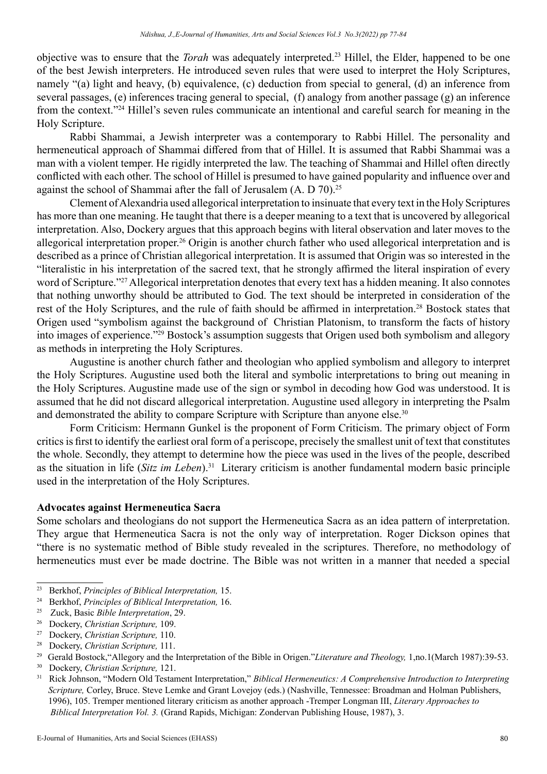objective was to ensure that the *Torah* was adequately interpreted.23 Hillel, the Elder, happened to be one of the best Jewish interpreters. He introduced seven rules that were used to interpret the Holy Scriptures, namely "(a) light and heavy, (b) equivalence, (c) deduction from special to general, (d) an inference from several passages, (e) inferences tracing general to special, (f) analogy from another passage (g) an inference from the context."24 Hillel's seven rules communicate an intentional and careful search for meaning in the Holy Scripture.

Rabbi Shammai, a Jewish interpreter was a contemporary to Rabbi Hillel. The personality and hermeneutical approach of Shammai differed from that of Hillel. It is assumed that Rabbi Shammai was a man with a violent temper. He rigidly interpreted the law. The teaching of Shammai and Hillel often directly conflicted with each other. The school of Hillel is presumed to have gained popularity and influence over and against the school of Shammai after the fall of Jerusalem (A. D 70).<sup>25</sup>

Clement of Alexandria used allegorical interpretation to insinuate that every text in the Holy Scriptures has more than one meaning. He taught that there is a deeper meaning to a text that is uncovered by allegorical interpretation. Also, Dockery argues that this approach begins with literal observation and later moves to the allegorical interpretation proper.<sup>26</sup> Origin is another church father who used allegorical interpretation and is described as a prince of Christian allegorical interpretation. It is assumed that Origin was so interested in the "literalistic in his interpretation of the sacred text, that he strongly affirmed the literal inspiration of every word of Scripture."<sup>27</sup> Allegorical interpretation denotes that every text has a hidden meaning. It also connotes that nothing unworthy should be attributed to God. The text should be interpreted in consideration of the rest of the Holy Scriptures, and the rule of faith should be affirmed in interpretation.<sup>28</sup> Bostock states that Origen used "symbolism against the background of Christian Platonism, to transform the facts of history into images of experience."<sup>29</sup> Bostock's assumption suggests that Origen used both symbolism and allegory as methods in interpreting the Holy Scriptures.

Augustine is another church father and theologian who applied symbolism and allegory to interpret the Holy Scriptures. Augustine used both the literal and symbolic interpretations to bring out meaning in the Holy Scriptures. Augustine made use of the sign or symbol in decoding how God was understood. It is assumed that he did not discard allegorical interpretation. Augustine used allegory in interpreting the Psalm and demonstrated the ability to compare Scripture with Scripture than anyone else.<sup>30</sup>

Form Criticism: Hermann Gunkel is the proponent of Form Criticism. The primary object of Form critics is first to identify the earliest oral form of a periscope, precisely the smallest unit of text that constitutes the whole. Secondly, they attempt to determine how the piece was used in the lives of the people, described as the situation in life (*Sitz im Leben*).<sup>31</sup> Literary criticism is another fundamental modern basic principle used in the interpretation of the Holy Scriptures.

### **Advocates against Hermeneutica Sacra**

Some scholars and theologians do not support the Hermeneutica Sacra as an idea pattern of interpretation. They argue that Hermeneutica Sacra is not the only way of interpretation. Roger Dickson opines that "there is no systematic method of Bible study revealed in the scriptures. Therefore, no methodology of hermeneutics must ever be made doctrine. The Bible was not written in a manner that needed a special

<sup>23</sup> Berkhof, *Principles of Biblical Interpretation,* 15.

<sup>24</sup> Berkhof, *Principles of Biblical Interpretation,* 16.

<sup>25</sup> Zuck, Basic *Bible Interpretation*, 29.

<sup>26</sup> Dockery, *Christian Scripture,* 109.

<sup>27</sup> Dockery, *Christian Scripture,* 110.

<sup>28</sup> Dockery, *Christian Scripture,* 111.

<sup>29</sup> Gerald Bostock,"Allegory and the Interpretation of the Bible in Origen."*Literature and Theology,* 1,no.1(March 1987):39-53.

<sup>30</sup> Dockery, *Christian Scripture,* 121.

<sup>31</sup> Rick Johnson, "Modern Old Testament Interpretation," *Biblical Hermeneutics: A Comprehensive Introduction to Interpreting Scripture,* Corley, Bruce. Steve Lemke and Grant Lovejoy (eds.) (Nashville, Tennessee: Broadman and Holman Publishers, 1996), 105. Tremper mentioned literary criticism as another approach -Tremper Longman III, *Literary Approaches to Biblical Interpretation Vol. 3.* (Grand Rapids, Michigan: Zondervan Publishing House, 1987), 3.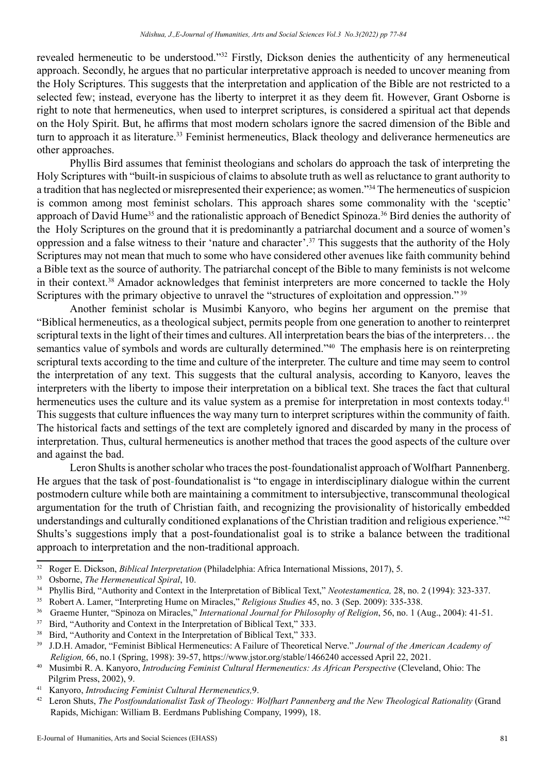revealed hermeneutic to be understood."<sup>32</sup> Firstly, Dickson denies the authenticity of any hermeneutical approach. Secondly, he argues that no particular interpretative approach is needed to uncover meaning from the Holy Scriptures. This suggests that the interpretation and application of the Bible are not restricted to a selected few; instead, everyone has the liberty to interpret it as they deem fit. However, Grant Osborne is right to note that hermeneutics, when used to interpret scriptures, is considered a spiritual act that depends on the Holy Spirit. But, he affirms that most modern scholars ignore the sacred dimension of the Bible and turn to approach it as literature.<sup>33</sup> Feminist hermeneutics, Black theology and deliverance hermeneutics are other approaches.

Phyllis Bird assumes that feminist theologians and scholars do approach the task of interpreting the Holy Scriptures with "built-in suspicious of claims to absolute truth as well as reluctance to grant authority to a tradition that has neglected or misrepresented their experience; as women."34 The hermeneutics of suspicion is common among most feminist scholars. This approach shares some commonality with the 'sceptic' approach of David Hume<sup>35</sup> and the rationalistic approach of Benedict Spinoza.<sup>36</sup> Bird denies the authority of the Holy Scriptures on the ground that it is predominantly a patriarchal document and a source of women's oppression and a false witness to their 'nature and character'.37 This suggests that the authority of the Holy Scriptures may not mean that much to some who have considered other avenues like faith community behind a Bible text as the source of authority. The patriarchal concept of the Bible to many feminists is not welcome in their context.38 Amador acknowledges that feminist interpreters are more concerned to tackle the Holy Scriptures with the primary objective to unravel the "structures of exploitation and oppression."<sup>39</sup>

Another feminist scholar is Musimbi Kanyoro, who begins her argument on the premise that "Biblical hermeneutics, as a theological subject, permits people from one generation to another to reinterpret scriptural texts in the light of their times and cultures. All interpretation bears the bias of the interpreters… the semantics value of symbols and words are culturally determined."<sup>40</sup> The emphasis here is on reinterpreting scriptural texts according to the time and culture of the interpreter. The culture and time may seem to control the interpretation of any text. This suggests that the cultural analysis, according to Kanyoro, leaves the interpreters with the liberty to impose their interpretation on a biblical text. She traces the fact that cultural hermeneutics uses the culture and its value system as a premise for interpretation in most contexts today.<sup>41</sup> This suggests that culture influences the way many turn to interpret scriptures within the community of faith. The historical facts and settings of the text are completely ignored and discarded by many in the process of interpretation. Thus, cultural hermeneutics is another method that traces the good aspects of the culture over and against the bad.

Leron Shults is another scholar who traces the post-foundationalist approach of Wolfhart Pannenberg. He argues that the task of post-foundationalist is "to engage in interdisciplinary dialogue within the current postmodern culture while both are maintaining a commitment to intersubjective, transcommunal theological argumentation for the truth of Christian faith, and recognizing the provisionality of historically embedded understandings and culturally conditioned explanations of the Christian tradition and religious experience."42 Shults's suggestions imply that a post-foundationalist goal is to strike a balance between the traditional approach to interpretation and the non-traditional approach.

41 Kanyoro, *Introducing Feminist Cultural Hermeneutics,*9.

<sup>32</sup> Roger E. Dickson, *Biblical Interpretation* (Philadelphia: Africa International Missions, 2017), 5.

<sup>33</sup> Osborne, *The Hermeneutical Spiral*, 10.

<sup>34</sup> Phyllis Bird, "Authority and Context in the Interpretation of Biblical Text," *Neotestamentica,* 28, no. 2 (1994): 323-337.

<sup>35</sup> Robert A. Lamer, "Interpreting Hume on Miracles," *Religious Studies* 45, no. 3 (Sep. 2009): 335-338.

<sup>36</sup> Graeme Hunter, "Spinoza on Miracles," *International Journal for Philosophy of Religion*, 56, no. 1 (Aug., 2004): 41-51.

<sup>&</sup>lt;sup>37</sup> Bird, "Authority and Context in the Interpretation of Biblical Text," 333.

<sup>&</sup>lt;sup>38</sup> Bird, "Authority and Context in the Interpretation of Biblical Text," 333.

<sup>39</sup> J.D.H. Amador, "Feminist Biblical Hermeneutics: A Failure of Theoretical Nerve." *Journal of the American Academy of Religion,* 66, no.1 (Spring, 1998): 39-57, https://www.jstor.org/stable/1466240 accessed April 22, 2021.

<sup>&</sup>lt;sup>40</sup> Musimbi R. A. Kanyoro, *Introducing Feminist Cultural Hermeneutics: As African Perspective* (Cleveland, Ohio: The Pilgrim Press, 2002), 9.

<sup>42</sup> Leron Shuts, *The Postfoundationalist Task of Theology: Wolfhart Pannenberg and the New Theological Rationality* (Grand Rapids, Michigan: William B. Eerdmans Publishing Company, 1999), 18.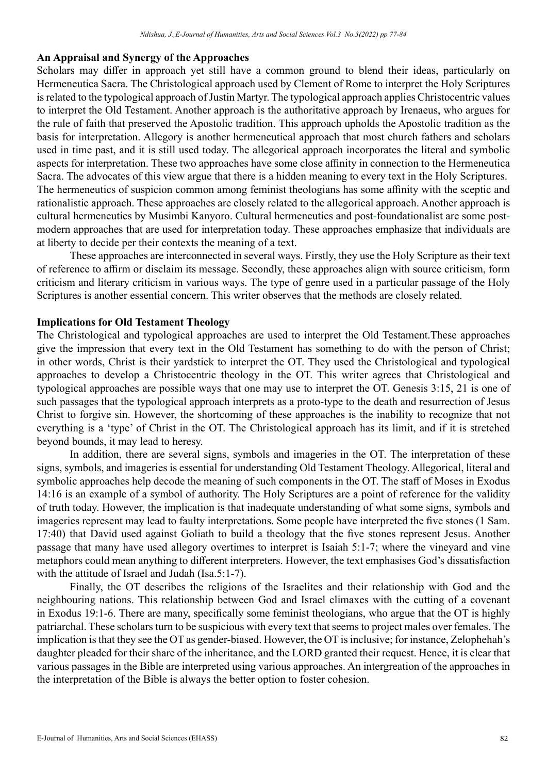#### **An Appraisal and Synergy of the Approaches**

Scholars may differ in approach yet still have a common ground to blend their ideas, particularly on Hermeneutica Sacra. The Christological approach used by Clement of Rome to interpret the Holy Scriptures is related to the typological approach of Justin Martyr. The typological approach applies Christocentric values to interpret the Old Testament. Another approach is the authoritative approach by Irenaeus, who argues for the rule of faith that preserved the Apostolic tradition. This approach upholds the Apostolic tradition as the basis for interpretation. Allegory is another hermeneutical approach that most church fathers and scholars used in time past, and it is still used today. The allegorical approach incorporates the literal and symbolic aspects for interpretation. These two approaches have some close affinity in connection to the Hermeneutica Sacra. The advocates of this view argue that there is a hidden meaning to every text in the Holy Scriptures. The hermeneutics of suspicion common among feminist theologians has some affinity with the sceptic and rationalistic approach. These approaches are closely related to the allegorical approach. Another approach is cultural hermeneutics by Musimbi Kanyoro. Cultural hermeneutics and post-foundationalist are some postmodern approaches that are used for interpretation today. These approaches emphasize that individuals are at liberty to decide per their contexts the meaning of a text.

These approaches are interconnected in several ways. Firstly, they use the Holy Scripture as their text of reference to affirm or disclaim its message. Secondly, these approaches align with source criticism, form criticism and literary criticism in various ways. The type of genre used in a particular passage of the Holy Scriptures is another essential concern. This writer observes that the methods are closely related.

## **Implications for Old Testament Theology**

The Christological and typological approaches are used to interpret the Old Testament.These approaches give the impression that every text in the Old Testament has something to do with the person of Christ; in other words, Christ is their yardstick to interpret the OT. They used the Christological and typological approaches to develop a Christocentric theology in the OT. This writer agrees that Christological and typological approaches are possible ways that one may use to interpret the OT. Genesis 3:15, 21 is one of such passages that the typological approach interprets as a proto-type to the death and resurrection of Jesus Christ to forgive sin. However, the shortcoming of these approaches is the inability to recognize that not everything is a 'type' of Christ in the OT. The Christological approach has its limit, and if it is stretched beyond bounds, it may lead to heresy.

In addition, there are several signs, symbols and imageries in the OT. The interpretation of these signs, symbols, and imageries is essential for understanding Old Testament Theology. Allegorical, literal and symbolic approaches help decode the meaning of such components in the OT. The staff of Moses in Exodus 14:16 is an example of a symbol of authority. The Holy Scriptures are a point of reference for the validity of truth today. However, the implication is that inadequate understanding of what some signs, symbols and imageries represent may lead to faulty interpretations. Some people have interpreted the five stones (1 Sam. 17:40) that David used against Goliath to build a theology that the five stones represent Jesus. Another passage that many have used allegory overtimes to interpret is Isaiah 5:1-7; where the vineyard and vine metaphors could mean anything to different interpreters. However, the text emphasises God's dissatisfaction with the attitude of Israel and Judah (Isa.5:1-7).

Finally, the OT describes the religions of the Israelites and their relationship with God and the neighbouring nations. This relationship between God and Israel climaxes with the cutting of a covenant in Exodus 19:1-6. There are many, specifically some feminist theologians, who argue that the OT is highly patriarchal. These scholars turn to be suspicious with every text that seems to project males over females. The implication is that they see the OT as gender-biased. However, the OT is inclusive; for instance, Zelophehah's daughter pleaded for their share of the inheritance, and the LORD granted their request. Hence, it is clear that various passages in the Bible are interpreted using various approaches. An intergreation of the approaches in the interpretation of the Bible is always the better option to foster cohesion.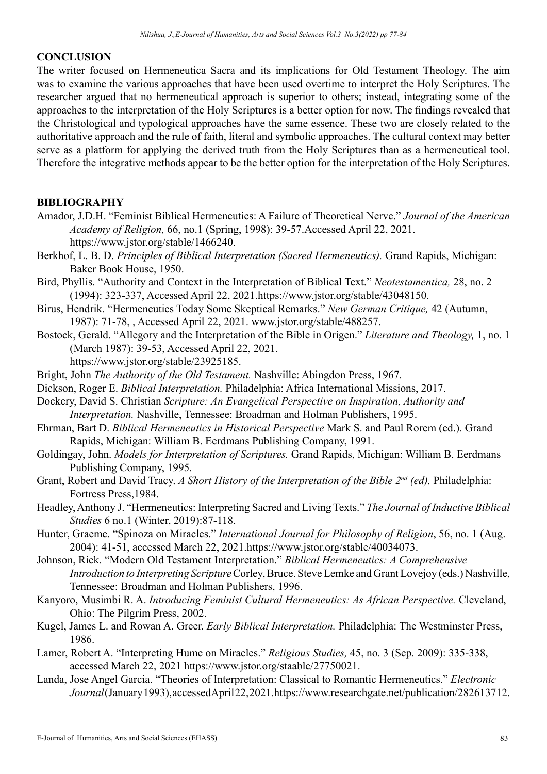### **CONCLUSION**

The writer focused on Hermeneutica Sacra and its implications for Old Testament Theology. The aim was to examine the various approaches that have been used overtime to interpret the Holy Scriptures. The researcher argued that no hermeneutical approach is superior to others; instead, integrating some of the approaches to the interpretation of the Holy Scriptures is a better option for now. The findings revealed that the Christological and typological approaches have the same essence. These two are closely related to the authoritative approach and the rule of faith, literal and symbolic approaches. The cultural context may better serve as a platform for applying the derived truth from the Holy Scriptures than as a hermeneutical tool. Therefore the integrative methods appear to be the better option for the interpretation of the Holy Scriptures.

# **BIBLIOGRAPHY**

- Amador, J.D.H. "Feminist Biblical Hermeneutics: A Failure of Theoretical Nerve." *Journal of the American Academy of Religion,* 66, no.1 (Spring, 1998): 39-57.Accessed April 22, 2021. https://www.jstor.org/stable/1466240.
- Berkhof, L. B. D. *Principles of Biblical Interpretation (Sacred Hermeneutics).* Grand Rapids, Michigan: Baker Book House, 1950.
- Bird, Phyllis. "Authority and Context in the Interpretation of Biblical Text." *Neotestamentica,* 28, no. 2 (1994): 323-337, Accessed April 22, 2021.https://www.jstor.org/stable/43048150.
- Birus, Hendrik. "Hermeneutics Today Some Skeptical Remarks." *New German Critique,* 42 (Autumn, 1987): 71-78, , Accessed April 22, 2021. www.jstor.org/stable/488257.
- Bostock, Gerald. "Allegory and the Interpretation of the Bible in Origen." *Literature and Theology,* 1, no. 1 (March 1987): 39-53, Accessed April 22, 2021. https://www.jstor.org/stable/23925185.
- Bright, John *The Authority of the Old Testament.* Nashville: Abingdon Press, 1967.
- Dickson, Roger E. *Biblical Interpretation.* Philadelphia: Africa International Missions, 2017.
- Dockery, David S. Christian *Scripture: An Evangelical Perspective on Inspiration, Authority and Interpretation.* Nashville, Tennessee: Broadman and Holman Publishers, 1995.
- Ehrman, Bart D. *Biblical Hermeneutics in Historical Perspective* Mark S. and Paul Rorem (ed.). Grand Rapids, Michigan: William B. Eerdmans Publishing Company, 1991.
- Goldingay, John. *Models for Interpretation of Scriptures.* Grand Rapids, Michigan: William B. Eerdmans Publishing Company, 1995.
- Grant, Robert and David Tracy. *A Short History of the Interpretation of the Bible 2<sup>nd</sup> (ed)*. Philadelphia: Fortress Press,1984.
- Headley, Anthony J. "Hermeneutics: Interpreting Sacred and Living Texts." *The Journal of Inductive Biblical Studies* 6 no.1 (Winter, 2019):87-118.
- Hunter, Graeme. "Spinoza on Miracles." *International Journal for Philosophy of Religion*, 56, no. 1 (Aug. 2004): 41-51, accessed March 22, 2021.https://www.jstor.org/stable/40034073.
- Johnson, Rick. "Modern Old Testament Interpretation." *Biblical Hermeneutics: A Comprehensive Introduction to Interpreting Scripture* Corley, Bruce. Steve Lemke and Grant Lovejoy (eds.) Nashville, Tennessee: Broadman and Holman Publishers, 1996.
- Kanyoro, Musimbi R. A. *Introducing Feminist Cultural Hermeneutics: As African Perspective.* Cleveland, Ohio: The Pilgrim Press, 2002.
- Kugel, James L. and Rowan A. Greer. *Early Biblical Interpretation.* Philadelphia: The Westminster Press, 1986.
- Lamer, Robert A. "Interpreting Hume on Miracles." *Religious Studies,* 45, no. 3 (Sep. 2009): 335-338, accessed March 22, 2021 https://www.jstor.org/staable/27750021.
- Landa, Jose Angel Garcia. "Theories of Interpretation: Classical to Romantic Hermeneutics." *Electronic Journal* (January 1993), accessed April 22, 2021.https://www.researchgate.net/publication/282613712.